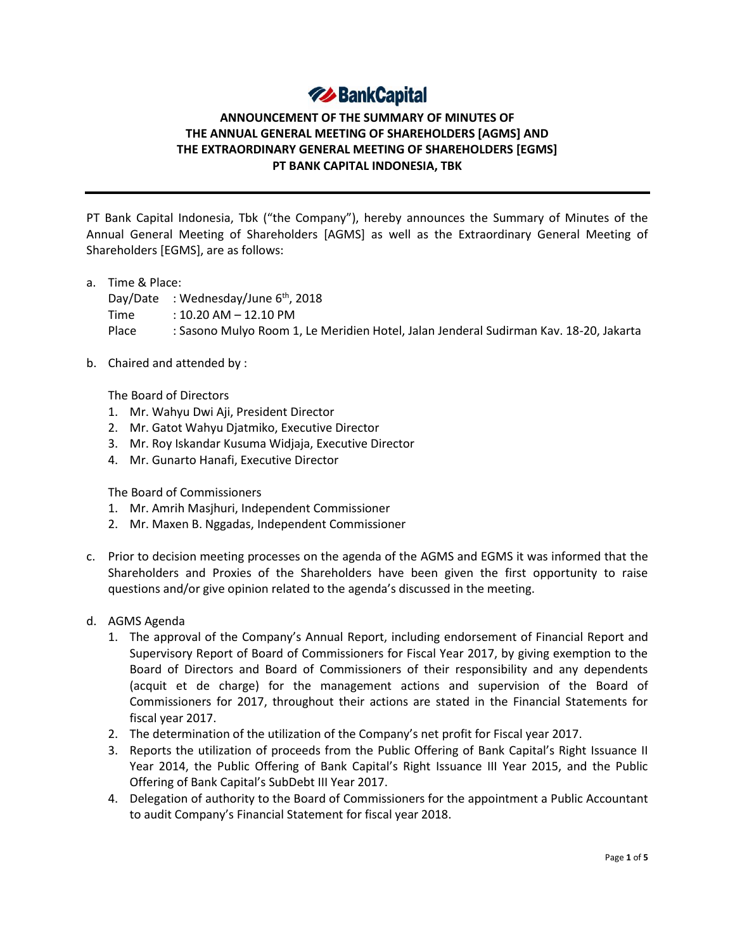# **74 BankCapital**

# **ANNOUNCEMENT OF THE SUMMARY OF MINUTES OF THE ANNUAL GENERAL MEETING OF SHAREHOLDERS [AGMS] AND THE EXTRAORDINARY GENERAL MEETING OF SHAREHOLDERS [EGMS] PT BANK CAPITAL INDONESIA, TBK**

PT Bank Capital Indonesia, Tbk ("the Company"), hereby announces the Summary of Minutes of the Annual General Meeting of Shareholders [AGMS] as well as the Extraordinary General Meeting of Shareholders [EGMS], are as follows:

a. Time & Place:

Day/Date : Wednesday/June  $6<sup>th</sup>$ , 2018

Time : 10.20 AM – 12.10 PM

Place : Sasono Mulyo Room 1, Le Meridien Hotel, Jalan Jenderal Sudirman Kav. 18-20, Jakarta

b. Chaired and attended by :

The Board of Directors

- 1. Mr. Wahyu Dwi Aji, President Director
- 2. Mr. Gatot Wahyu Djatmiko, Executive Director
- 3. Mr. Roy Iskandar Kusuma Widjaja, Executive Director
- 4. Mr. Gunarto Hanafi, Executive Director

The Board of Commissioners

- 1. Mr. Amrih Masjhuri, Independent Commissioner
- 2. Mr. Maxen B. Nggadas, Independent Commissioner
- c. Prior to decision meeting processes on the agenda of the AGMS and EGMS it was informed that the Shareholders and Proxies of the Shareholders have been given the first opportunity to raise questions and/or give opinion related to the agenda's discussed in the meeting.
- d. AGMS Agenda
	- 1. The approval of the Company's Annual Report, including endorsement of Financial Report and Supervisory Report of Board of Commissioners for Fiscal Year 2017, by giving exemption to the Board of Directors and Board of Commissioners of their responsibility and any dependents (acquit et de charge) for the management actions and supervision of the Board of Commissioners for 2017, throughout their actions are stated in the Financial Statements for fiscal year 2017.
	- 2. The determination of the utilization of the Company's net profit for Fiscal year 2017.
	- 3. Reports the utilization of proceeds from the Public Offering of Bank Capital's Right Issuance II Year 2014, the Public Offering of Bank Capital's Right Issuance III Year 2015, and the Public Offering of Bank Capital's SubDebt III Year 2017.
	- 4. Delegation of authority to the Board of Commissioners for the appointment a Public Accountant to audit Company's Financial Statement for fiscal year 2018.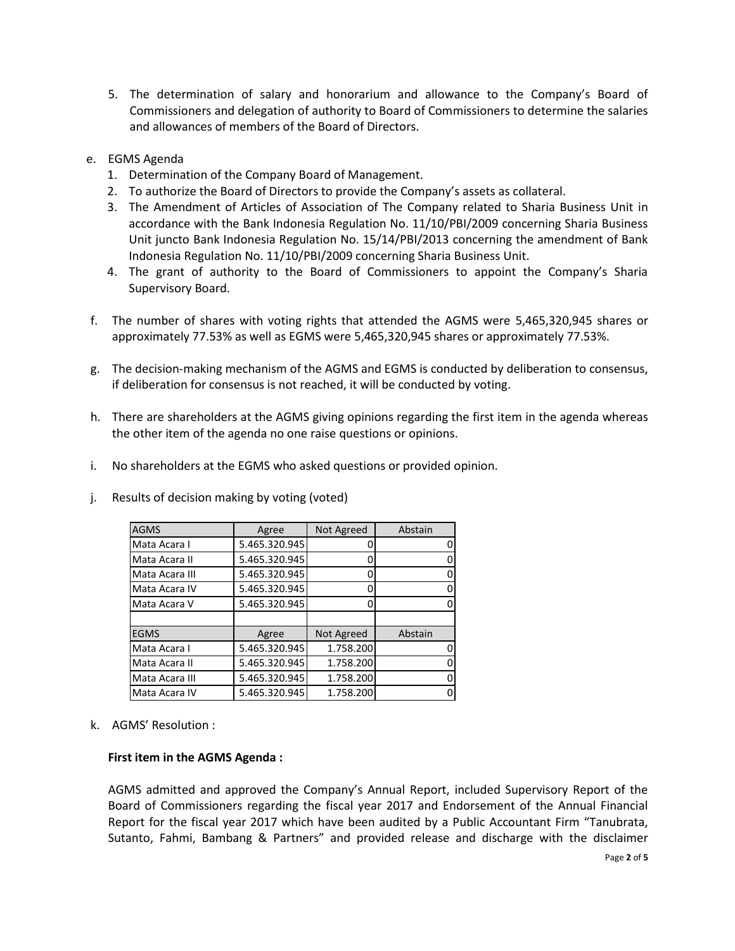- 5. The determination of salary and honorarium and allowance to the Company's Board of Commissioners and delegation of authority to Board of Commissioners to determine the salaries and allowances of members of the Board of Directors.
- e. EGMS Agenda
	- 1. Determination of the Company Board of Management.
	- 2. To authorize the Board of Directors to provide the Company's assets as collateral.
	- 3. The Amendment of Articles of Association of The Company related to Sharia Business Unit in accordance with the Bank Indonesia Regulation No. 11/10/PBI/2009 concerning Sharia Business Unit juncto Bank Indonesia Regulation No. 15/14/PBI/2013 concerning the amendment of Bank Indonesia Regulation No. 11/10/PBI/2009 concerning Sharia Business Unit.
	- 4. The grant of authority to the Board of Commissioners to appoint the Company's Sharia Supervisory Board.
- f. The number of shares with voting rights that attended the AGMS were 5,465,320,945 shares or approximately 77.53% as well as EGMS were 5,465,320,945 shares or approximately 77.53%.
- g. The decision-making mechanism of the AGMS and EGMS is conducted by deliberation to consensus, if deliberation for consensus is not reached, it will be conducted by voting.
- h. There are shareholders at the AGMS giving opinions regarding the first item in the agenda whereas the other item of the agenda no one raise questions or opinions.
- i. No shareholders at the EGMS who asked questions or provided opinion.

| <b>AGMS</b>    | Agree         | Not Agreed | Abstain |
|----------------|---------------|------------|---------|
| Mata Acara I   | 5.465.320.945 |            | 0       |
| Mata Acara II  | 5.465.320.945 |            | 0       |
| Mata Acara III | 5.465.320.945 |            | 0       |
| Mata Acara IV  | 5.465.320.945 |            | 0       |
| Mata Acara V   | 5.465.320.945 |            | 0       |
|                |               |            |         |
| <b>EGMS</b>    | Agree         | Not Agreed | Abstain |
| Mata Acara I   | 5.465.320.945 | 1.758.200  | 0       |
| Mata Acara II  | 5.465.320.945 | 1.758.200  | O       |
| Mata Acara III | 5.465.320.945 | 1.758.200  | 0       |
| Mata Acara IV  | 5.465.320.945 | 1.758.200  | 0       |

j. Results of decision making by voting (voted)

k. AGMS' Resolution :

#### **First item in the AGMS Agenda :**

AGMS admitted and approved the Company's Annual Report, included Supervisory Report of the Board of Commissioners regarding the fiscal year 2017 and Endorsement of the Annual Financial Report for the fiscal year 2017 which have been audited by a Public Accountant Firm "Tanubrata, Sutanto, Fahmi, Bambang & Partners" and provided release and discharge with the disclaimer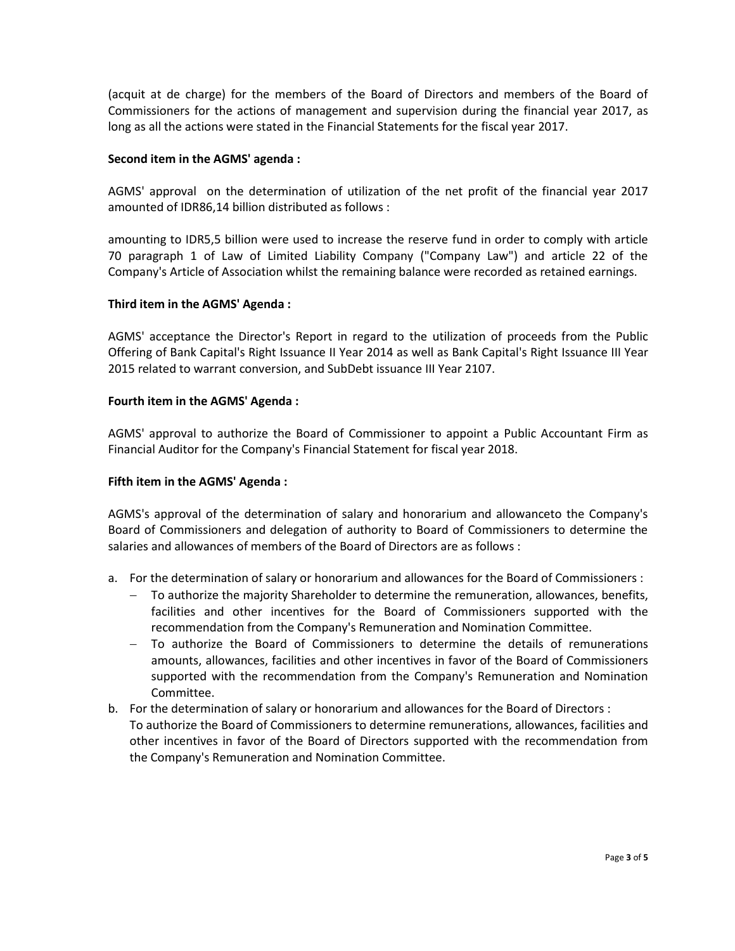(acquit at de charge) for the members of the Board of Directors and members of the Board of Commissioners for the actions of management and supervision during the financial year 2017, as long as all the actions were stated in the Financial Statements for the fiscal year 2017.

### **Second item in the AGMS' agenda :**

AGMS' approval on the determination of utilization of the net profit of the financial year 2017 amounted of IDR86,14 billion distributed as follows :

amounting to IDR5,5 billion were used to increase the reserve fund in order to comply with article 70 paragraph 1 of Law of Limited Liability Company ("Company Law") and article 22 of the Company's Article of Association whilst the remaining balance were recorded as retained earnings.

#### **Third item in the AGMS' Agenda :**

AGMS' acceptance the Director's Report in regard to the utilization of proceeds from the Public Offering of Bank Capital's Right Issuance II Year 2014 as well as Bank Capital's Right Issuance III Year 2015 related to warrant conversion, and SubDebt issuance III Year 2107.

#### **Fourth item in the AGMS' Agenda :**

AGMS' approval to authorize the Board of Commissioner to appoint a Public Accountant Firm as Financial Auditor for the Company's Financial Statement for fiscal year 2018.

### **Fifth item in the AGMS' Agenda :**

AGMS's approval of the determination of salary and honorarium and allowanceto the Company's Board of Commissioners and delegation of authority to Board of Commissioners to determine the salaries and allowances of members of the Board of Directors are as follows :

- a. For the determination of salary or honorarium and allowances for the Board of Commissioners :
	- To authorize the majority Shareholder to determine the remuneration, allowances, benefits, facilities and other incentives for the Board of Commissioners supported with the recommendation from the Company's Remuneration and Nomination Committee.
	- To authorize the Board of Commissioners to determine the details of remunerations amounts, allowances, facilities and other incentives in favor of the Board of Commissioners supported with the recommendation from the Company's Remuneration and Nomination Committee.
- b. For the determination of salary or honorarium and allowances for the Board of Directors : To authorize the Board of Commissioners to determine remunerations, allowances, facilities and other incentives in favor of the Board of Directors supported with the recommendation from the Company's Remuneration and Nomination Committee.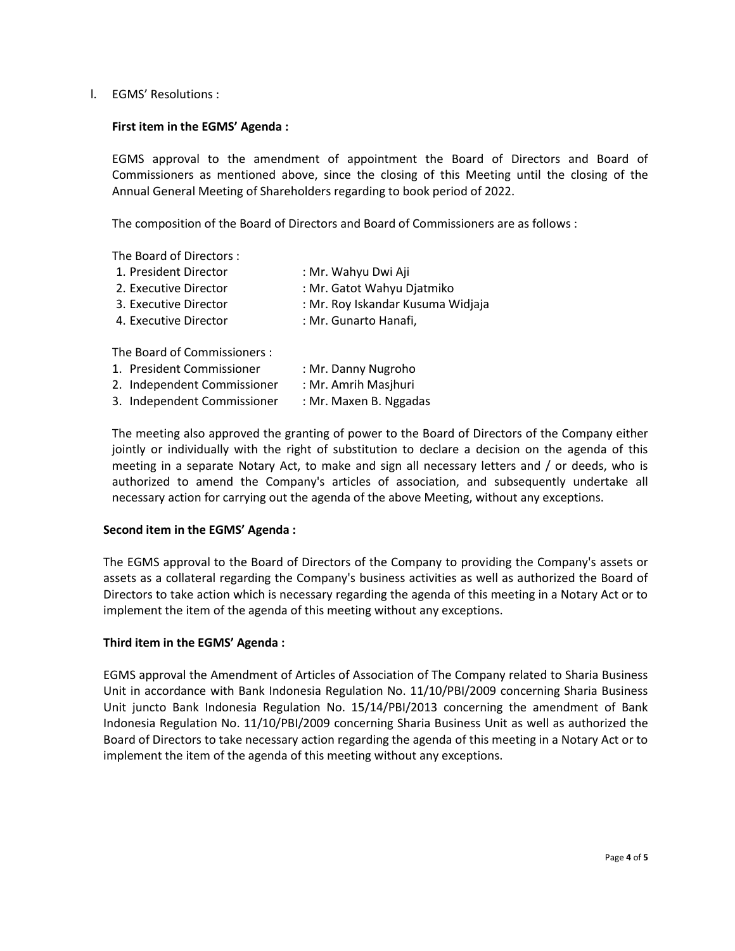l. EGMS' Resolutions :

#### **First item in the EGMS' Agenda :**

EGMS approval to the amendment of appointment the Board of Directors and Board of Commissioners as mentioned above, since the closing of this Meeting until the closing of the Annual General Meeting of Shareholders regarding to book period of 2022.

The composition of the Board of Directors and Board of Commissioners are as follows :

The Board of Directors :

| : Mr. Wahyu Dwi Aji               |
|-----------------------------------|
| : Mr. Gatot Wahyu Djatmiko        |
| : Mr. Roy Iskandar Kusuma Widjaja |
| : Mr. Gunarto Hanafi,             |
|                                   |
|                                   |

The Board of Commissioners :

| 1. President Commissioner   | : Mr. Danny Nugroho    |
|-----------------------------|------------------------|
| 2. Independent Commissioner | : Mr. Amrih Masjhuri   |
| 3. Independent Commissioner | : Mr. Maxen B. Nggadas |

The meeting also approved the granting of power to the Board of Directors of the Company either jointly or individually with the right of substitution to declare a decision on the agenda of this meeting in a separate Notary Act, to make and sign all necessary letters and / or deeds, who is authorized to amend the Company's articles of association, and subsequently undertake all necessary action for carrying out the agenda of the above Meeting, without any exceptions.

#### **Second item in the EGMS' Agenda :**

The EGMS approval to the Board of Directors of the Company to providing the Company's assets or assets as a collateral regarding the Company's business activities as well as authorized the Board of Directors to take action which is necessary regarding the agenda of this meeting in a Notary Act or to implement the item of the agenda of this meeting without any exceptions.

## **Third item in the EGMS' Agenda :**

EGMS approval the Amendment of Articles of Association of The Company related to Sharia Business Unit in accordance with Bank Indonesia Regulation No. 11/10/PBI/2009 concerning Sharia Business Unit juncto Bank Indonesia Regulation No. 15/14/PBI/2013 concerning the amendment of Bank Indonesia Regulation No. 11/10/PBI/2009 concerning Sharia Business Unit as well as authorized the Board of Directors to take necessary action regarding the agenda of this meeting in a Notary Act or to implement the item of the agenda of this meeting without any exceptions.